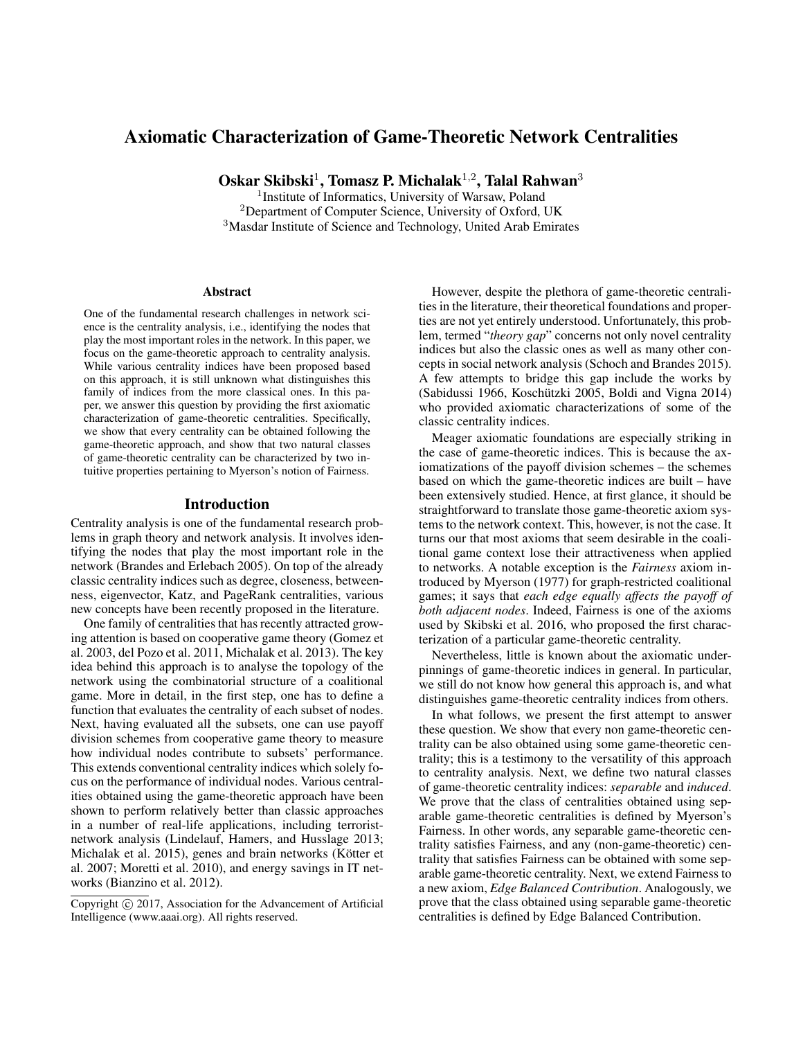# Axiomatic Characterization of Game-Theoretic Network Centralities

Oskar Skibski<sup>1</sup>, Tomasz P. Michalak<sup>1,2</sup>, Talal Rahwan<sup>3</sup>

<sup>1</sup> Institute of Informatics, University of Warsaw, Poland <sup>2</sup>Department of Computer Science, University of Oxford, UK <sup>3</sup>Masdar Institute of Science and Technology, United Arab Emirates

### Abstract

One of the fundamental research challenges in network science is the centrality analysis, i.e., identifying the nodes that play the most important roles in the network. In this paper, we focus on the game-theoretic approach to centrality analysis. While various centrality indices have been proposed based on this approach, it is still unknown what distinguishes this family of indices from the more classical ones. In this paper, we answer this question by providing the first axiomatic characterization of game-theoretic centralities. Specifically, we show that every centrality can be obtained following the game-theoretic approach, and show that two natural classes of game-theoretic centrality can be characterized by two intuitive properties pertaining to Myerson's notion of Fairness.

### Introduction

Centrality analysis is one of the fundamental research problems in graph theory and network analysis. It involves identifying the nodes that play the most important role in the network (Brandes and Erlebach 2005). On top of the already classic centrality indices such as degree, closeness, betweenness, eigenvector, Katz, and PageRank centralities, various new concepts have been recently proposed in the literature.

One family of centralities that has recently attracted growing attention is based on cooperative game theory (Gomez et al. 2003, del Pozo et al. 2011, Michalak et al. 2013). The key idea behind this approach is to analyse the topology of the network using the combinatorial structure of a coalitional game. More in detail, in the first step, one has to define a function that evaluates the centrality of each subset of nodes. Next, having evaluated all the subsets, one can use payoff division schemes from cooperative game theory to measure how individual nodes contribute to subsets' performance. This extends conventional centrality indices which solely focus on the performance of individual nodes. Various centralities obtained using the game-theoretic approach have been shown to perform relatively better than classic approaches in a number of real-life applications, including terroristnetwork analysis (Lindelauf, Hamers, and Husslage 2013; Michalak et al. 2015), genes and brain networks (Kötter et al. 2007; Moretti et al. 2010), and energy savings in IT networks (Bianzino et al. 2012).

However, despite the plethora of game-theoretic centralities in the literature, their theoretical foundations and properties are not yet entirely understood. Unfortunately, this problem, termed "*theory gap*" concerns not only novel centrality indices but also the classic ones as well as many other concepts in social network analysis (Schoch and Brandes 2015). A few attempts to bridge this gap include the works by (Sabidussi 1966, Koschützki 2005, Boldi and Vigna 2014) who provided axiomatic characterizations of some of the classic centrality indices.

Meager axiomatic foundations are especially striking in the case of game-theoretic indices. This is because the axiomatizations of the payoff division schemes – the schemes based on which the game-theoretic indices are built – have been extensively studied. Hence, at first glance, it should be straightforward to translate those game-theoretic axiom systems to the network context. This, however, is not the case. It turns our that most axioms that seem desirable in the coalitional game context lose their attractiveness when applied to networks. A notable exception is the *Fairness* axiom introduced by Myerson (1977) for graph-restricted coalitional games; it says that *each edge equally affects the payoff of both adjacent nodes*. Indeed, Fairness is one of the axioms used by Skibski et al. 2016, who proposed the first characterization of a particular game-theoretic centrality.

Nevertheless, little is known about the axiomatic underpinnings of game-theoretic indices in general. In particular, we still do not know how general this approach is, and what distinguishes game-theoretic centrality indices from others.

In what follows, we present the first attempt to answer these question. We show that every non game-theoretic centrality can be also obtained using some game-theoretic centrality; this is a testimony to the versatility of this approach to centrality analysis. Next, we define two natural classes of game-theoretic centrality indices: *separable* and *induced*. We prove that the class of centralities obtained using separable game-theoretic centralities is defined by Myerson's Fairness. In other words, any separable game-theoretic centrality satisfies Fairness, and any (non-game-theoretic) centrality that satisfies Fairness can be obtained with some separable game-theoretic centrality. Next, we extend Fairness to a new axiom, *Edge Balanced Contribution*. Analogously, we prove that the class obtained using separable game-theoretic centralities is defined by Edge Balanced Contribution.

Copyright (c) 2017, Association for the Advancement of Artificial Intelligence (www.aaai.org). All rights reserved.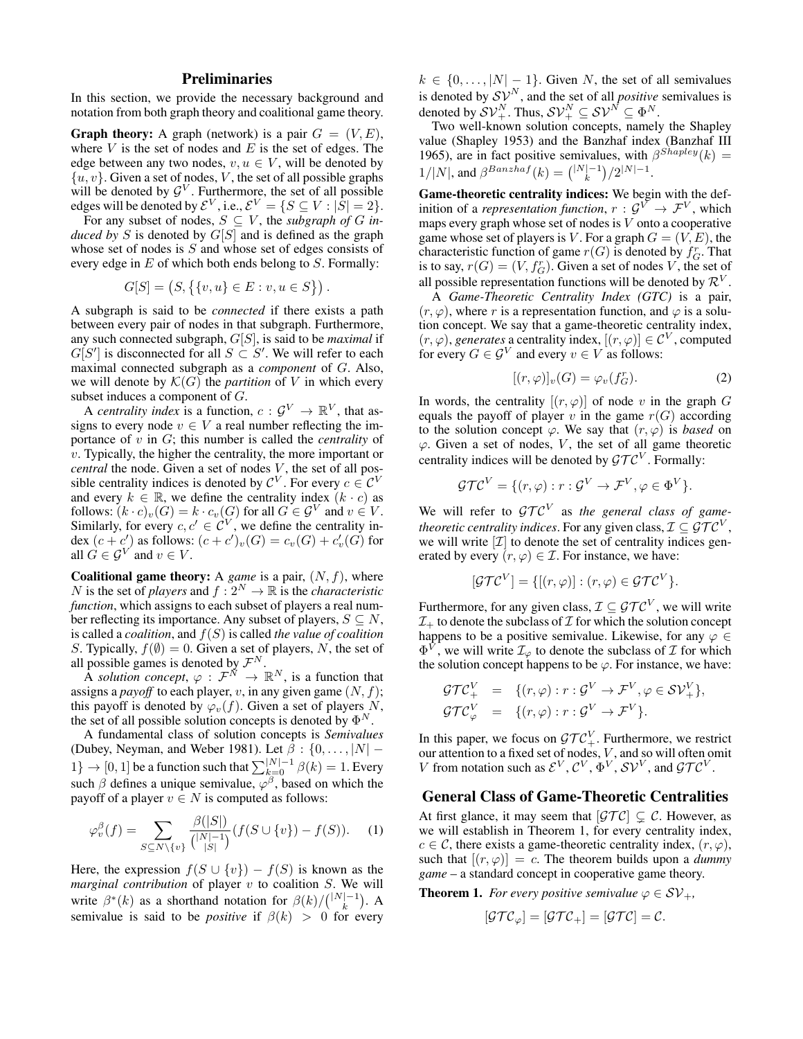# Preliminaries

In this section, we provide the necessary background and notation from both graph theory and coalitional game theory.

**Graph theory:** A graph (network) is a pair  $G = (V, E)$ , where  $V$  is the set of nodes and  $E$  is the set of edges. The edge between any two nodes,  $v, u \in V$ , will be denoted by  $\{u, v\}$ . Given a set of nodes, V, the set of all possible graphs will be denoted by  $\mathcal{G}^V$ . Furthermore, the set of all possible edges will be denoted by  $\mathcal{E}^V$ , i.e.,  $\mathcal{E}^V = \{S \subseteq V : |\bar{S}| = 2\}.$ 

For any subset of nodes,  $S \subseteq V$ , the *subgraph of* G in*duced by* S is denoted by G[S] and is defined as the graph whose set of nodes is S and whose set of edges consists of every edge in  $E$  of which both ends belong to  $S$ . Formally:

$$
G[S] = (S, \{ \{v, u\} \in E : v, u \in S \} ).
$$

A subgraph is said to be *connected* if there exists a path between every pair of nodes in that subgraph. Furthermore, any such connected subgraph, G[S], is said to be *maximal* if  $G[S']$  is disconnected for all  $S \subset S'$ . We will refer to each maximal connected subgraph as a *component* of G. Also, we will denote by  $\mathcal{K}(G)$  the *partition* of V in which every subset induces a component of G.

A *centrality index* is a function,  $c: \mathcal{G}^V \to \mathbb{R}^V$ , that assigns to every node  $v \in V$  a real number reflecting the importance of v in G; this number is called the *centrality* of  $v$ . Typically, the higher the centrality, the more important or *central* the node. Given a set of nodes V, the set of all possible centrality indices is denoted by  $\mathcal{C}^V$ . For every  $c \in \mathcal{C}^V$ and every  $k \in \mathbb{R}$ , we define the centrality index  $(k \cdot c)$  as follows:  $(k \cdot c)_v(G) = k \cdot c_v(G)$  for all  $G \in \mathcal{G}^V$  and  $v \in V$ . Similarly, for every  $c, c' \in \mathcal{C}^V$ , we define the centrality index  $(c + c')$  as follows:  $(c + c')_v(G) = c_v(G) + c'_v(G)$  for all  $G \in \mathcal{G}^V$  and  $v \in V$ .

**Coalitional game theory:** A *game* is a pair,  $(N, f)$ , where N is the set of *players* and  $f: 2^N \to \mathbb{R}$  is the *characteristic function*, which assigns to each subset of players a real number reflecting its importance. Any subset of players,  $S \subseteq N$ , is called a *coalition*, and f(S) is called *the value of coalition* S. Typically,  $f(\emptyset) = 0$ . Given a set of players, N, the set of all possible games is denoted by  $\mathcal{F}^N$ .

A *solution concept*,  $\varphi : \mathcal{F}^{\tilde{N}} \to \mathbb{R}^N$ , is a function that assigns a *payoff* to each player, v, in any given game  $(N, f)$ ; this payoff is denoted by  $\varphi_v(f)$ . Given a set of players N, the set of all possible solution concepts is denoted by  $\Phi^N$ .

A fundamental class of solution concepts is *Semivalues* (Dubey, Neyman, and Weber 1981). Let  $\beta : \{0, \ldots, |N| - \}$  $1\} \rightarrow [0,1]$  be a function such that  $\sum_{k=0}^{|N|-1} \beta(k) = 1$ . Every such  $\beta$  defines a unique semivalue,  $\varphi^{\beta}$ , based on which the payoff of a player  $v \in N$  is computed as follows:

$$
\varphi_v^{\beta}(f) = \sum_{S \subseteq N \setminus \{v\}} \frac{\beta(|S|)}{\binom{|N|-1}{|S|}} (f(S \cup \{v\}) - f(S)). \tag{1}
$$

Here, the expression  $f(S \cup \{v\}) - f(S)$  is known as the  $marginal$  *contribution* of player  $v$  to coalition  $S$ . We will write  $\beta^*(k)$  as a shorthand notation for  $\beta(k)/\binom{|N|-1}{k}$ . A semivalue is said to be *positive* if  $\beta(k) > 0$  for every  $k \in \{0, \ldots, |N|-1\}$ . Given N, the set of all semivalues is denoted by  $S_v^N$ , and the set of all *positive* semivalues is denoted by  $\mathcal{SV}^N_+$ . Thus,  $\mathcal{SV}^N_+ \subseteq \mathcal{SV}^N \subseteq \Phi^N$ .

Two well-known solution concepts, namely the Shapley value (Shapley 1953) and the Banzhaf index (Banzhaf III 1965), are in fact positive semivalues, with  $\beta^{Shapley}(k) =$  $1/|N|$ , and  $\beta^{Banzhaf}(k) = \binom{|N|-1}{k} / 2^{|N|-1}$ .

Game-theoretic centrality indices: We begin with the definition of a *representation function*,  $r: \mathcal{G}^V \to \mathcal{F}^V$ , which maps every graph whose set of nodes is V onto a cooperative game whose set of players is V. For a graph  $G = (V, E)$ , the characteristic function of game  $r(G)$  is denoted by  $f_G^r$ . That is to say,  $r(G) = (V, f_G^r)$ . Given a set of nodes V, the set of all possible representation functions will be denoted by  $\mathcal{R}^V$ .

A *Game-Theoretic Centrality Index (GTC)* is a pair,  $(r, \varphi)$ , where r is a representation function, and  $\varphi$  is a solution concept. We say that a game-theoretic centrality index,  $(r, \varphi)$ , *generates* a centrality index,  $[(r, \varphi)] \in \mathcal{C}^V$ , computed for every  $G \in \mathcal{G}^V$  and every  $v \in V$  as follows:

$$
[(r,\varphi)]_v(G) = \varphi_v(f_G^r). \tag{2}
$$

In words, the centrality  $[(r, \varphi)]$  of node v in the graph G equals the payoff of player v in the game  $r(G)$  according to the solution concept  $\varphi$ . We say that  $(r, \varphi)$  is *based* on  $\varphi$ . Given a set of nodes,  $V$ , the set of all game theoretic centrality indices will be denoted by  $\mathcal{GTC}^V$ . Formally:

$$
\mathcal{GTC}^V = \{ (r,\varphi) : r : \mathcal{G}^V \to \mathcal{F}^V, \varphi \in \Phi^V \}.
$$

We will refer to  $\mathcal{GTC}^V$  as the general class of game*theoretic centrality indices.* For any given class,  $\mathcal{I} \subseteq \mathcal{GTC}^V,$ we will write  $[\mathcal{I}]$  to denote the set of centrality indices generated by every  $(r, \varphi) \in \mathcal{I}$ . For instance, we have:

$$
[\mathcal{GTC}^V] = \{[(r,\varphi)] : (r,\varphi) \in \mathcal{GTC}^V\}.
$$

Furthermore, for any given class,  $\mathcal{I} \subseteq \mathcal{GTC}^V$ , we will write  $\mathcal{I}_+$  to denote the subclass of  $\mathcal I$  for which the solution concept happens to be a positive semivalue. Likewise, for any  $\varphi \in$  $\Phi^{\tilde{V}}$ , we will write  $\mathcal{I}_{\varphi}$  to denote the subclass of  $\mathcal I$  for which the solution concept happens to be  $\varphi$ . For instance, we have:

$$
\begin{array}{rcl}\n\mathcal{GTC}_{+}^{V} & = & \{ (r,\varphi) : r : \mathcal{G}^{V} \to \mathcal{F}^{V}, \varphi \in \mathcal{SV}_{+}^{V} \}, \\
\mathcal{GTC}_{\varphi}^{V} & = & \{ (r,\varphi) : r : \mathcal{G}^{V} \to \mathcal{F}^{V} \}.\n\end{array}
$$

In this paper, we focus on  $\mathcal{GTC}_+^V$ . Furthermore, we restrict our attention to a fixed set of nodes, V , and so will often omit V from notation such as  $\mathcal{E}^V, \mathcal{C}^V, \Phi^V, \mathcal{SV}^V$ , and  $\mathcal{GTC}^V$ .

# General Class of Game-Theoretic Centralities

At first glance, it may seem that  $|\mathcal{GTC}| \subsetneq \mathcal{C}$ . However, as we will establish in Theorem 1, for every centrality index,  $c \in \mathcal{C}$ , there exists a game-theoretic centrality index,  $(r, \varphi)$ , such that  $[(r, \varphi)] = c$ . The theorem builds upon a *dummy game* – a standard concept in cooperative game theory.

**Theorem 1.** *For every positive semivalue*  $\varphi \in SV_+$ ,

$$
[\mathcal{GTC}_{\varphi}] = [\mathcal{GTC}_{+}] = [\mathcal{GTC}] = \mathcal{C}.
$$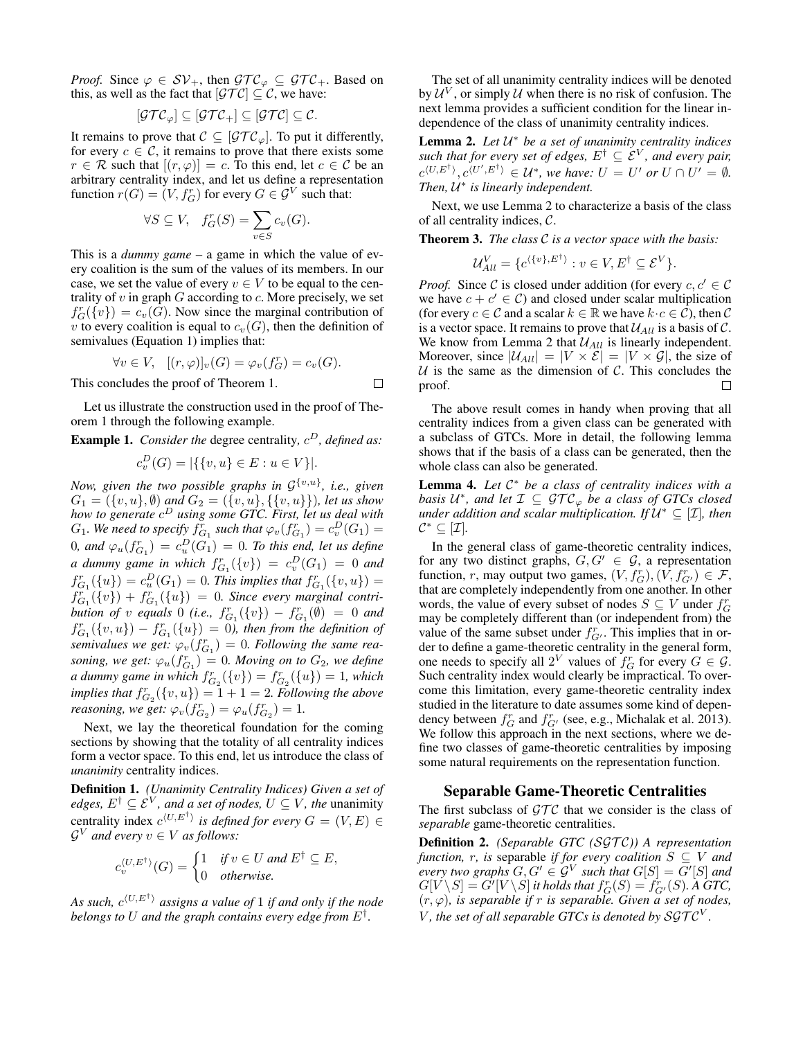*Proof.* Since  $\varphi \in SV_+$ , then  $\mathcal{GTC}_{\varphi} \subseteq \mathcal{GTC}_+$ . Based on this, as well as the fact that  $|\mathcal{GTC}| \subseteq \mathcal{C}$ , we have:

$$
[\mathcal{GTC}_{\varphi}] \subseteq [\mathcal{GTC}_{+}] \subseteq [\mathcal{GTC}] \subseteq \mathcal{C}.
$$

It remains to prove that  $C \subseteq [\mathcal{GTC}_{\varphi}]$ . To put it differently, for every  $c \in \mathcal{C}$ , it remains to prove that there exists some  $r \in \mathcal{R}$  such that  $[(r, \varphi)] = c$ . To this end, let  $c \in \mathcal{C}$  be an arbitrary centrality index, and let us define a representation function  $r(G) = (V, f_G^r)$  for every  $G \in \mathcal{G}^V$  such that:

$$
\forall S \subseteq V, \quad f_G^r(S) = \sum_{v \in S} c_v(G).
$$

This is a *dummy game* – a game in which the value of every coalition is the sum of the values of its members. In our case, we set the value of every  $v \in V$  to be equal to the centrality of  $v$  in graph  $G$  according to  $c$ . More precisely, we set  $f_G^r(\{v\}) = c_v(\hat{G})$ . Now since the marginal contribution of v to every coalition is equal to  $c_v(G)$ , then the definition of semivalues (Equation 1) implies that:

$$
\forall v \in V, \ \ [(r,\varphi)]_v(G) = \varphi_v(f_G^r) = c_v(G).
$$

 $\Box$ 

This concludes the proof of Theorem 1.

Let us illustrate the construction used in the proof of Theorem 1 through the following example.

Example 1. *Consider the* degree centrality,  $c^D$ , defined as:

$$
c_v^D(G) = |\{\{v, u\} \in E : u \in V\}|.
$$

*Now, given the two possible graphs in*  $\mathcal{G}^{\{v,u\}}$ *, i.e., given*  $G_1 = (\{v, u\}, \emptyset)$  *and*  $G_2 = (\{v, u\}, \{\{v, u\}\})$ *, let us show how to generate* c <sup>D</sup> *using some GTC. First, let us deal with*  $G_1$ . We need to specify  $f_{G_1}^r$  such that  $\varphi_v(f_{G_1}^r) = c_v^D(G_1) =$  $(0, \text{ and } \varphi_u(f_{G_1}^r) = c_u^D(G_1) = 0$ . To this end, let us define *a* dummy game in which  $f_{G_1}^r({v}) = c_v^D(G_1) = 0$  and  $f_{G_1}^r(\{u\}) = c_u^D(G_1) = 0$ . This implies that  $f_{G_1}^r(\{v, u\}) =$  $f_{G_1}^r({v}) + f_{G_1}^r({u}) = 0$ . Since every marginal contri*bution of* v *equals* 0 *(i.e.,*  $f_{G_1}^r({v}) - f_{G_1}^r(\emptyset) = 0$  *and*  $f_{G_1}^r(\{v, u\}) - f_{G_1}^r(\{u\}) = 0$ , then from the definition of semivalues we get:  $\varphi_v(f_{G_1}^r) = 0$ . Following the same rea*soning, we get:*  $\varphi_u(f_{G_1}^r) = 0$ *. Moving on to*  $G_2$ *, we define a dummy game in which*  $f_{G_2}^r({v}) = f_{G_2}^r({u}) = 1$ , which *implies that*  $f_{G_2}^r({v, u}) = 1 + 1 = 2$ *. Following the above reasoning, we get:*  $\varphi_v(f_{G_2}^r) = \varphi_u(f_{G_2}^r) = 1$ .

Next, we lay the theoretical foundation for the coming sections by showing that the totality of all centrality indices form a vector space. To this end, let us introduce the class of *unanimity* centrality indices.

Definition 1. *(Unanimity Centrality Indices) Given a set of edges,*  $E^{\dagger} \subseteq \mathcal{E}^V$ *, and a set of nodes,*  $U \subseteq V$ *, the unanimity* centrality index  $c^{(U,E^{\dagger})}$  is defined for every  $G = (V, E) \in$  $\mathcal{G}^V$  and every  $v \in V$  as follows:

$$
c_v^{\langle U, E^{\dagger} \rangle}(G) = \begin{cases} 1 & \text{if } v \in U \text{ and } E^{\dagger} \subseteq E, \\ 0 & \text{otherwise.} \end{cases}
$$

As such,  $c^{\langle U, E^\dagger \rangle}$  assigns a value of 1 if and only if the node *belongs to* U *and the graph contains every edge from* E† *.*

The set of all unanimity centrality indices will be denoted by  $\mathcal{U}^V$ , or simply  $\mathcal U$  when there is no risk of confusion. The next lemma provides a sufficient condition for the linear independence of the class of unanimity centrality indices.

Lemma 2. *Let* U <sup>∗</sup> *be a set of unanimity centrality indices such that for every set of edges,*  $E^{\dagger} \subseteq \mathcal{E}^{V}$ *, and every pair,*  $c^{\langle U, E^{\dagger} \rangle}, c^{\langle U', E^{\dagger} \rangle} \in \mathcal{U}^{*}$ , we have:  $U = U'$  or  $U \cap U' = \emptyset$ . *Then, U<sup>∗</sup> is linearly independent.* 

Next, we use Lemma 2 to characterize a basis of the class of all centrality indices, C.

Theorem 3. *The class* C *is a vector space with the basis:*

$$
\mathcal{U}_{All}^V = \{ c^{\langle \{v\}, E^{\dagger} \rangle} : v \in V, E^{\dagger} \subseteq \mathcal{E}^V \}.
$$

*Proof.* Since C is closed under addition (for every  $c, c' \in \mathcal{C}$ we have  $c + c' \in \mathcal{C}$  and closed under scalar multiplication (for every  $c \in \mathcal{C}$  and a scalar  $k \in \mathbb{R}$  we have  $k \cdot c \in \mathcal{C}$ ), then  $\mathcal{C}$ is a vector space. It remains to prove that  $\mathcal{U}_{All}$  is a basis of C. We know from Lemma 2 that  $U_{All}$  is linearly independent. Moreover, since  $|\mathcal{U}_{All}| = |V \times \mathcal{E}| = |V \times \mathcal{G}|$ , the size of  $U$  is the same as the dimension of  $C$ . This concludes the proof. П

The above result comes in handy when proving that all centrality indices from a given class can be generated with a subclass of GTCs. More in detail, the following lemma shows that if the basis of a class can be generated, then the whole class can also be generated.

Lemma 4. *Let* C <sup>∗</sup> *be a class of centrality indices with a basis*  $U^*$ , and let  $\mathcal{I} \subseteq \mathcal{GTC}_{\varphi}$  *be a class of GTCs closed under addition and scalar multiplication. If* U <sup>∗</sup> ⊆ [I]*, then*  $\mathcal{C}^* \subseteq [\mathcal{I}].$ 

In the general class of game-theoretic centrality indices, for any two distinct graphs,  $G, G' \in \mathcal{G}$ , a representation function, r, may output two games,  $(V, f_G^r), (V, f_{G'}^r) \in \mathcal{F}$ , that are completely independently from one another. In other words, the value of every subset of nodes  $S \subseteq V$  under  $f_G^r$ may be completely different than (or independent from) the value of the same subset under  $f_{G'}^r$ . This implies that in order to define a game-theoretic centrality in the general form, one needs to specify all  $2^V$  values of  $f_G^r$  for every  $G \in \mathcal{G}$ . Such centrality index would clearly be impractical. To overcome this limitation, every game-theoretic centrality index studied in the literature to date assumes some kind of dependency between  $f_G^r$  and  $f_{G'}^r$  (see, e.g., Michalak et al. 2013). We follow this approach in the next sections, where we define two classes of game-theoretic centralities by imposing some natural requirements on the representation function.

## Separable Game-Theoretic Centralities

The first subclass of  $\mathcal{GTC}$  that we consider is the class of *separable* game-theoretic centralities.

Definition 2. *(Separable GTC (SGTC))* A representation *function, r, is separable if for every coalition*  $S \subseteq V$  *and every two graphs*  $G, G' \in \mathcal{G}^V$  such that  $G[S] = G'[S]$  and  $G[V\backslash S]=G'[V\backslash S]$  it holds that  $f_G^r(S)=f_{G'}^r(S).$  A GTC,  $(r, \varphi)$ *, is separable if* r *is separable. Given a set of nodes,* V, the set of all separable GTCs is denoted by  $\mathcal{SGTC}^V$ .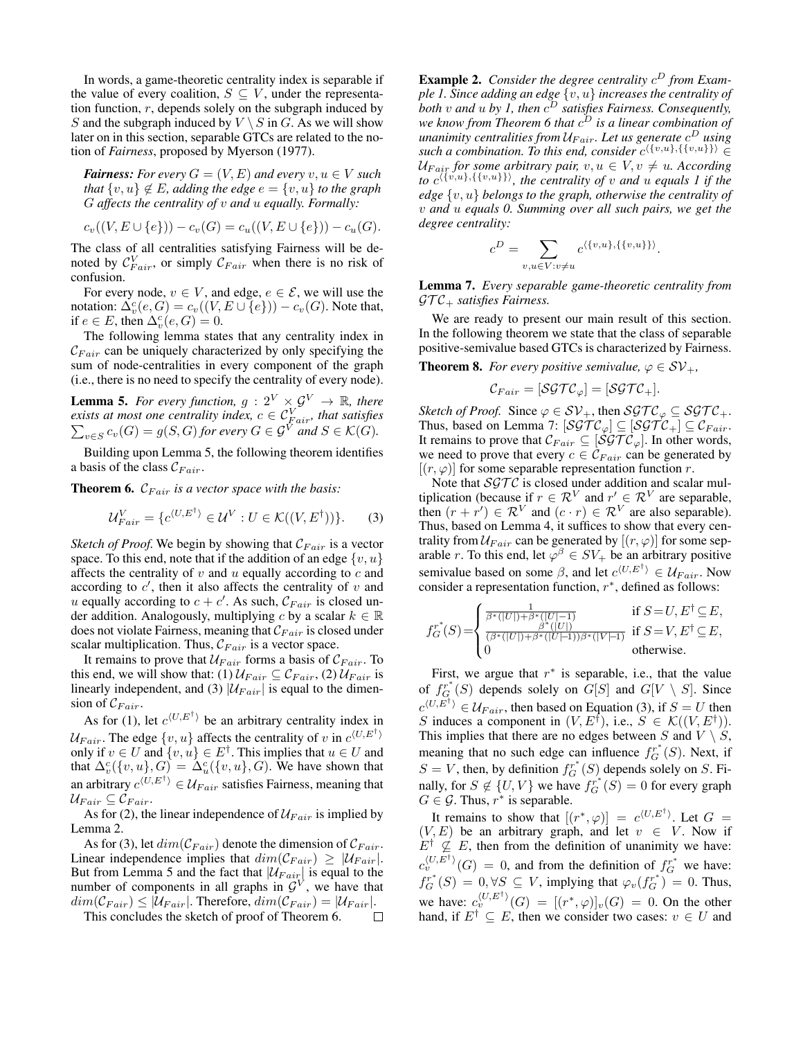In words, a game-theoretic centrality index is separable if the value of every coalition,  $S \subseteq V$ , under the representation function,  $r$ , depends solely on the subgraph induced by S and the subgraph induced by  $V \setminus S$  in G. As we will show later on in this section, separable GTCs are related to the notion of *Fairness*, proposed by Myerson (1977).

*Fairness: For every*  $G = (V, E)$  *and every*  $v, u \in V$  *such that*  $\{v, u\} \notin E$ *, adding the edge*  $e = \{v, u\}$  *to the graph* G *affects the centrality of* v *and* u *equally. Formally:*

$$
c_v((V, E \cup \{e\})) - c_v(G) = c_u((V, E \cup \{e\})) - c_u(G).
$$

The class of all centralities satisfying Fairness will be denoted by  $\mathcal{C}_{Fair}^V$ , or simply  $\mathcal{C}_{Fair}$  when there is no risk of confusion.

For every node,  $v \in V$ , and edge,  $e \in \mathcal{E}$ , we will use the notation:  $\Delta_v^c(e, G) = c_v((V, E \cup \{e\})) - c_v(G)$ . Note that, if  $e \in E$ , then  $\Delta_v^c(e, G) = 0$ .

The following lemma states that any centrality index in  $C_{Fair}$  can be uniquely characterized by only specifying the sum of node-centralities in every component of the graph (i.e., there is no need to specify the centrality of every node).

**Lemma 5.** For every function,  $g : 2^V \times \mathcal{G}^V \to \mathbb{R}$ , there *exists at most one centrality index,*  $c \in C_{Fair}^V$ <br> $\sum_{v \in S} c_v(G) = g(S, G)$  for every  $G \in \mathcal{G}^V$  and *, that satisfies*  $v \in S$   $c_v(G) = g(S, G)$  for every  $G \in \mathcal{G}^V$  and  $S \in \mathcal{K}(G)$ .

Building upon Lemma 5, the following theorem identifies a basis of the class  $\mathcal{C}_{Fair}$ .

**Theorem 6.**  $C_{Fair}$  *is a vector space with the basis:* 

$$
\mathcal{U}_{Fair}^V = \{ c^{\langle U, E^\dagger \rangle} \in \mathcal{U}^V : U \in \mathcal{K}((V, E^\dagger)) \}.
$$
 (3)

*Sketch of Proof.* We begin by showing that  $C_{Fair}$  is a vector space. To this end, note that if the addition of an edge  $\{v, u\}$ affects the centrality of  $v$  and  $u$  equally according to  $c$  and according to  $c'$ , then it also affects the centrality of  $v$  and u equally according to  $c + c'$ . As such,  $\mathcal{C}_{Fair}$  is closed under addition. Analogously, multiplying c by a scalar  $k \in \mathbb{R}$ does not violate Fairness, meaning that  $\mathcal{C}_{Fair}$  is closed under scalar multiplication. Thus,  $C_{Fair}$  is a vector space.

It remains to prove that  $U_{Fair}$  forms a basis of  $C_{Fair}$ . To this end, we will show that: (1)  $\mathcal{U}_{Fair} \subseteq \mathcal{C}_{Fair}$ , (2)  $\mathcal{U}_{Fair}$  is linearly independent, and (3)  $|\mathcal{U}_{Fair}|$  is equal to the dimension of  $\mathcal{C}_{Fair}$ .

As for (1), let  $c^{(U,E^{\dagger})}$  be an arbitrary centrality index in  $\mathcal{U}_{Fair}$ . The edge  $\{v, u\}$  affects the centrality of v in  $c^{\langle U, E^{\dagger} \rangle}$ only if  $v \in U$  and  $\{v, u\} \in E^{\dagger}$ . This implies that  $u \in U$  and that  $\Delta_v^c(\{v, u\}, G) = \Delta_u^c(\{v, u\}, G)$ . We have shown that an arbitrary  $c^{\langle U, E^\dagger \rangle} \in \mathcal{U}_{Fair}$  satisfies Fairness, meaning that  $\mathcal{U}_{Fair} \subseteq \mathcal{C}_{Fair}.$ 

As for (2), the linear independence of  $U_{Fair}$  is implied by Lemma 2.

As for (3), let  $dim(\mathcal{C}_{Fair})$  denote the dimension of  $\mathcal{C}_{Fair}$ . Linear independence implies that  $dim(\mathcal{C}_{Fair}) \geq |\mathcal{U}_{Fair}|$ . But from Lemma 5 and the fact that  $|\mathcal{U}_{Fair}$  is equal to the number of components in all graphs in  $\mathcal{G}^V$ , we have that  $dim(\mathcal{C}_{Fair}) \leq |\mathcal{U}_{Fair}|$ . Therefore,  $dim(\mathcal{C}_{Fair}) = |\mathcal{U}_{Fair}|$ .

This concludes the sketch of proof of Theorem 6.  $\Box$ 

**Example 2.** Consider the degree centrality  $c^D$  from Exam*ple 1. Since adding an edge*  $\{v, u\}$  *increases the centrality of both* v *and* u *by 1, then* c <sup>D</sup> *satisfies Fairness. Consequently,* we know from Theorem 6 that  $c^D$  is a linear combination of *unanimity centralities from* UF air*. Let us generate* c <sup>D</sup> *using* such a combination. To this end, consider  $c^{\langle \{v,u\}, \{\{v,u\}\} \rangle} \in$  $U_{F a i r}$  *for some arbitrary pair,*  $v, u \in V, v \neq u$ . According *to*  $c^{\langle \{v,u\}, \{\{v,u\}\} \rangle}$ , the centrality of v and u equals 1 if the *edge* {v, u} *belongs to the graph, otherwise the centrality of* v *and* u *equals 0. Summing over all such pairs, we get the degree centrality:*

$$
c^{D} = \sum_{v, u \in V: v \neq u} c^{\langle \{v, u\}, \{\{v, u\}\} \rangle}.
$$

Lemma 7. *Every separable game-theoretic centrality from*  $\mathcal{GTC}_+$  *satisfies Fairness.* 

We are ready to present our main result of this section. In the following theorem we state that the class of separable positive-semivalue based GTCs is characterized by Fairness.

**Theorem 8.** *For every positive semivalue,*  $\varphi \in SV_+$ ,

$$
\mathcal{C}_{Fair} = [\mathcal{SGTC}_{\varphi}] = [\mathcal{SGTC}_{+}].
$$

*Sketch of Proof.* Since  $\varphi \in SV_+$ , then  $SGTC_{\varphi} \subseteq SGTC_+$ . Thus, based on Lemma 7:  $[\mathcal{SGTC}_{\varphi}] \subseteq [\mathcal{SGTC}_{+}] \subseteq \mathcal{C}_{Fair}.$ It remains to prove that  $\mathcal{C}_{Fair} \subseteq [\mathcal{SGT} \mathcal{C}_{\varphi}]$ . In other words, we need to prove that every  $c \in \check{\mathcal{C}}_{Fair}$  can be generated by  $[(r, \varphi)]$  for some separable representation function r.

Note that  $SGTC$  is closed under addition and scalar multiplication (because if  $r \in \mathcal{R}^V$  and  $r' \in \mathcal{R}^V$  are separable, then  $(r + r') \in \mathcal{R}^V$  and  $(c \cdot r) \in \mathcal{R}^V$  are also separable). Thus, based on Lemma 4, it suffices to show that every centrality from  $U_{Fair}$  can be generated by  $[(r, \varphi)]$  for some separable r. To this end, let  $\varphi^{\beta} \in SV_+$  be an arbitrary positive semivalue based on some  $\beta$ , and let  $c^{\langle U, E^{\dagger} \rangle} \in \mathcal{U}_{Fair}$ . Now consider a representation function,  $r^*$ , defined as follows:

$$
f_G^{r^*}(S) = \begin{cases} \frac{1}{\beta^*(|U|) + \beta^*(|U|-1)} & \text{if } S = U, E^\dagger \subseteq E, \\ \frac{\beta^*(|U|)}{(\beta^*(|U|) + \beta^*(|U|-1))\beta^*(|V|-1)} & \text{if } S = V, E^\dagger \subseteq E, \\ 0 & \text{otherwise.} \end{cases}
$$

First, we argue that  $r^*$  is separable, i.e., that the value of  $f_G^{r^*}(S)$  depends solely on  $G[S]$  and  $G[V \setminus S]$ . Since  $c^{\langle U, E^{\dagger} \rangle} \in \mathcal{U}_{Fair}$ , then based on Equation (3), if  $S = U$  then S induces a component in  $(V, E^{\dagger})$ , i.e.,  $S \in \mathcal{K}((V, E^{\dagger}))$ . This implies that there are no edges between S and  $V \setminus S$ , meaning that no such edge can influence  $f_G^{r^*}(S)$ . Next, if  $S = V$ , then, by definition  $f_G^{r^*}(S)$  depends solely on S. Finally, for  $S \notin \{U, V\}$  we have  $f_G^{r^*}(S) = 0$  for every graph  $G \in \mathcal{G}$ . Thus,  $r^*$  is separable.

It remains to show that  $[(r^*, \varphi)] = c^{\langle U, E^{\dagger} \rangle}$ . Let  $G =$  $(V, E)$  be an arbitrary graph, and let  $v \in V$ . Now if  $E^{\dagger} \nsubseteq E$ , then from the definition of unanimity we have:  $c_v^{(U,E^{\dagger})}(G) = 0$ , and from the definition of  $f_G^{T^*}$  we have:  $f_G^{r^*}(S) = 0, \forall S \subseteq V$ , implying that  $\varphi_v(f_G^{r^*}) = 0$ . Thus, we have:  $c_v^{\langle U, E^{\dagger} \rangle}(G) = [(r^*, \varphi)]_v(G) = 0$ . On the other hand, if  $E^{\dagger} \subseteq E$ , then we consider two cases:  $v \in U$  and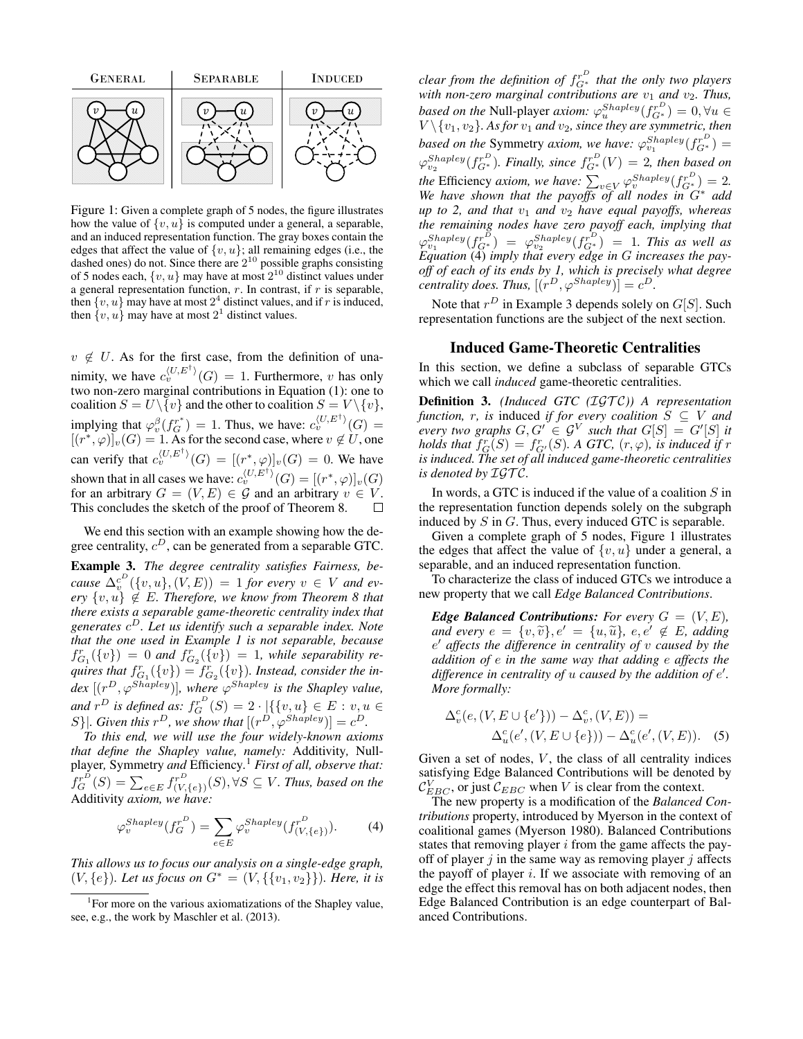

Figure 1: Given a complete graph of 5 nodes, the figure illustrates how the value of  $\{v, u\}$  is computed under a general, a separable, and an induced representation function. The gray boxes contain the edges that affect the value of  $\{v, u\}$ ; all remaining edges (i.e., the dashed ones) do not. Since there are  $2^{10}$  possible graphs consisting of 5 nodes each,  $\{v, u\}$  may have at most  $2^{10}$  distinct values under a general representation function,  $r$ . In contrast, if  $r$  is separable, then  $\{v, u\}$  may have at most  $2^4$  distinct values, and if r is induced, then  $\{v, u\}$  may have at most  $2<sup>1</sup>$  distinct values.

 $v \notin U$ . As for the first case, from the definition of unanimity, we have  $c_v^{\langle U, E^{\dagger} \rangle}(G) = 1$ . Furthermore, v has only two non-zero marginal contributions in Equation (1): one to coalition  $S = U \setminus \{v\}$  and the other to coalition  $S = V \setminus \{v\}$ , implying that  $\varphi_v^{\beta}(f_G^{r^*}) = 1$ . Thus, we have:  $c_v^{\langle U, E^{\dagger} \rangle}(G) =$  $[(r^*, \varphi)]_v(G) = 1$ . As for the second case, where  $v \notin U$ , one can verify that  $c_v^{\langle U, E^{\dagger} \rangle}(G) = [(r^*, \varphi)]_v(G) = 0$ . We have shown that in all cases we have:  $c_v^{\langle U, E^{\dagger} \rangle}(G) = [(r^*, \varphi)]_v(G)$ for an arbitrary  $G = (V, E) \in \mathcal{G}$  and an arbitrary  $v \in V$ . This concludes the sketch of the proof of Theorem 8.  $\Box$ 

We end this section with an example showing how the degree centrality,  $c^D$ , can be generated from a separable GTC.

Example 3. *The degree centrality satisfies Fairness, be-* $\mathcal{L}_{v}^{c^{D}}(\lbrace v, u \rbrace, (V, E)) = 1$  *for every*  $v \in V$  *and ev* $e^{i\phi}$   $\{v, u\} \notin E$ *. Therefore, we know from Theorem 8 that there exists a separable game-theoretic centrality index that generates* c <sup>D</sup>*. Let us identify such a separable index. Note that the one used in Example 1 is not separable, because*  $f_{G_1}^r(\{v\}) = 0$  and  $f_{G_2}^r(\{\hat{v}\}) = 1$ , while separability requires that  $f_{G_1}^r({v}) = f_{G_2}^r({v})$ . Instead, consider the in- $\textit{dex}$   $[(r^D, \varphi^{Shapley})]$ *, where*  $\varphi^{Shapley}$  *is the Shapley value,* and  $r^D$  is defined as:  $f_G^{r^D}(S) = 2 \cdot \lbrack (\{v, u\} \in E : v, u \in S)$ S}|. Given this  $r^D$ , we show that  $[(r^D, \varphi^{Shapley})] = c^D$ .

*To this end, we will use the four widely-known axioms that define the Shapley value, namely:* Additivity*,* Nullplayer*,* Symmetry *and* Efficiency*.* <sup>1</sup> *First of all, observe that:*  $f_G^{r^D}(S) = \sum_{e \in E} f_{(V, e)}^{r^D}$  $\langle V^{\mathcal{P}^{\mathcal{P}}}_{(V, \{e\})}(S), \forall S \subseteq V$ *. Thus, based on the* Additivity *axiom, we have:*

$$
\varphi_v^{Shapley}(f_G^{r^D}) = \sum_{e \in E} \varphi_v^{Shapley}(f_{(V, \{e\})}^{r^D}). \tag{4}
$$

*This allows us to focus our analysis on a single-edge graph,* (V, {e})*. Let us focus on* G<sup>∗</sup> = (V, {{v1, v2}})*. Here, it is*

*clear from the definition of*  $f_{G^*}^{r^D}$  *that the only two players with non-zero marginal contributions are*  $v_1$  *and*  $v_2$ *. Thus, based on the* Null-player *axiom:*  $\varphi_u^{Shapley}(f_{G^*}^{r^D}) = 0, \forall u \in$  $V \setminus \{v_1, v_2\}$ . As for  $v_1$  and  $v_2$ , since they are symmetric, then *based on the* Symmetry *axiom, we have:*  $\varphi_{v_1}^{Shapley}(f_{G^*}^{r^D}) =$  $\varphi_{v_2}^{Shapley}(f_{G^*}^{r^D})$ . Finally, since  $f_{G^*}^{r^D}(V) = 2$ , then based on *the* Efficiency *axiom, we have:*  $\sum_{v \in V} \varphi_v^{Shapley}(f_{G^*}^{r^D}) = 2$ . *We have shown that the payoffs of all nodes in* G<sup>∗</sup> *add up to 2, and that*  $v_1$  *and*  $v_2$  *have equal payoffs, whereas the remaining nodes have zero payoff each, implying that*  $\varphi_{v_1}^{Shapley}(f_{G^*}^{r^D}) = \varphi_{v_2}^{Shapley}(f_{G^*}^{r^D}) = 1$ . This as well as *Equation* (4) *imply that every edge in* G *increases the payoff of each of its ends by 1, which is precisely what degree centrality does. Thus,*  $[(r^D, \varphi^{Shapley})] = c^D$ .

Note that  $r^D$  in Example 3 depends solely on  $G[S]$ . Such representation functions are the subject of the next section.

#### Induced Game-Theoretic Centralities

In this section, we define a subclass of separable GTCs which we call *induced* game-theoretic centralities.

**Definition 3.** *(Induced GTC (IGTC))* A representation *function, r, is induced if for every coalition*  $S \subseteq V$  *and every two graphs*  $G, G' \in \mathcal{G}^V$  such that  $G[S] = G'[S]$  it *holds that*  $f_G^r(S) = f_{G'}^r(S)$ . A GTC,  $(r, \varphi)$ , is induced if r *is induced. The set of all induced game-theoretic centralities is denoted by*  $IGTC$ .

In words, a GTC is induced if the value of a coalition  $S$  in the representation function depends solely on the subgraph induced by S in G. Thus, every induced GTC is separable.

Given a complete graph of 5 nodes, Figure 1 illustrates the edges that affect the value of  $\{v, u\}$  under a general, a separable, and an induced representation function.

To characterize the class of induced GTCs we introduce a new property that we call *Edge Balanced Contributions*.

*Edge Balanced Contributions: For every*  $G = (V, E)$ *, and every*  $e = \{v, \tilde{v}\}, e' = \{u, \tilde{u}\}, e, e' \notin E$ *, adding* e <sup>0</sup> *affects the difference in centrality of* v *caused by the addition of* e *in the same way that adding* e *affects the* difference in centrality of *u* caused by the addition of e'. *More formally:*

$$
\Delta_v^c(e, (V, E \cup \{e'\})) - \Delta_v^c, (V, E)) =
$$
  

$$
\Delta_u^c(e', (V, E \cup \{e\})) - \Delta_u^c(e', (V, E)).
$$
 (5)

Given a set of nodes,  $V$ , the class of all centrality indices satisfying Edge Balanced Contributions will be denoted by  $\mathcal{C}_{EBC}^V$ , or just  $\mathcal{C}_{EBC}$  when V is clear from the context.

The new property is a modification of the *Balanced Contributions* property, introduced by Myerson in the context of coalitional games (Myerson 1980). Balanced Contributions states that removing player  $i$  from the game affects the payoff of player  $j$  in the same way as removing player  $j$  affects the payoff of player  $i$ . If we associate with removing of an edge the effect this removal has on both adjacent nodes, then Edge Balanced Contribution is an edge counterpart of Balanced Contributions.

<sup>&</sup>lt;sup>1</sup> For more on the various axiomatizations of the Shapley value, see, e.g., the work by Maschler et al. (2013).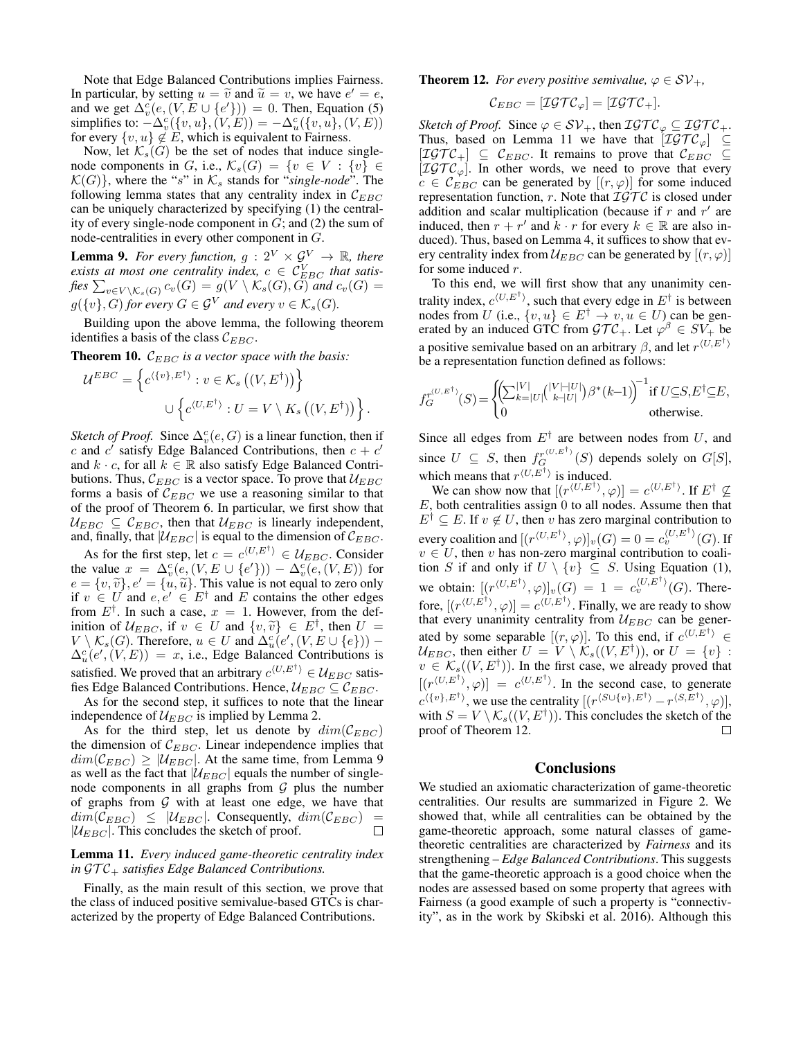Note that Edge Balanced Contributions implies Fairness. In particular, by setting  $u = \tilde{v}$  and  $\tilde{u} = v$ , we have  $e' = e$ ,<br>and we get  $\Delta^c(e/(VE) + (e')v) = 0$ . Then, Equation (5) and we get  $\Delta_v^c(e, (V, E \cup \{e'\})) = 0$ . Then, Equation (5) simplifies to:  $-\Delta_v^c(\lbrace v, u \rbrace, (V, E)) = -\Delta_u^c(\lbrace v, u \rbrace, (V, E))$ for every  $\{v, u\} \notin E$ , which is equivalent to Fairness.

Now, let  $\mathcal{K}_s(G)$  be the set of nodes that induce singlenode components in G, i.e.,  $\mathcal{K}_s(G) = \{v \in V : \{v\} \in$  $\mathcal{K}(G)$ , where the "s" in  $\mathcal{K}_s$  stands for "*single-node*". The following lemma states that any centrality index in  $\mathcal{C}_{EBC}$ can be uniquely characterized by specifying (1) the centrality of every single-node component in  $G$ ; and  $(2)$  the sum of node-centralities in every other component in G.

**Lemma 9.** For every function,  $g : 2^V \times \mathcal{G}^V \to \mathbb{R}$ , there *exists at most one centrality index,*  $c \in C_{EBC}^V$  *that satis*fies  $\sum_{v\in V\setminus \mathcal{K}_s(G)} c_v(G) = g(V\setminus \mathcal{K}_s(G), G)$  and  $c_v(G) =$  $g({v}, G)$  *for every*  $G \in \mathcal{G}^V$  *and every*  $v \in \mathcal{K}_s(G)$ *.* 

Building upon the above lemma, the following theorem identifies a basis of the class  $C_{EBC}$ .

**Theorem 10.**  $C_{EBC}$  *is a vector space with the basis:* 

$$
\mathcal{U}^{EBC} = \left\{ c^{\langle \{v\}, E^{\dagger} \rangle} : v \in \mathcal{K}_s ((V, E^{\dagger})) \right\}
$$

$$
\cup \left\{ c^{\langle U, E^{\dagger} \rangle} : U = V \setminus K_s ((V, E^{\dagger})) \right\}.
$$

*Sketch of Proof.* Since  $\Delta_v^c(e, G)$  is a linear function, then if c and  $c'$  satisfy Edge Balanced Contributions, then  $c + c'$ and  $k \cdot c$ , for all  $k \in \mathbb{R}$  also satisfy Edge Balanced Contributions. Thus,  $\mathcal{C}_{EBC}$  is a vector space. To prove that  $\mathcal{U}_{EBC}$ forms a basis of  $C_{EBC}$  we use a reasoning similar to that of the proof of Theorem 6. In particular, we first show that  $U_{EBC} \subseteq \mathcal{C}_{EBC}$ , then that  $U_{EBC}$  is linearly independent, and, finally, that  $|\mathcal{U}_{EBC}|$  is equal to the dimension of  $\mathcal{C}_{EBC}$ .

As for the first step, let  $c = c^{\langle U, E^{\dagger} \rangle} \in \mathcal{U}_{EBC}$ . Consider the value  $x = \Delta_v^c(e, (V, E \cup \{e'\})) - \Delta_v^c(e, (V, E))$  for  $e = \{v, \tilde{v}\}, e' = \{u, \tilde{u}\}.$  This value is not equal to zero only<br>if  $v \in U$  and  $e, e' \in E^{\dagger}$  and E contains the other edges if  $v \in U$  and  $e, e' \in E^{\dagger}$  and E contains the other edges from  $E^{\dagger}$ . In such a case,  $x = 1$ . However, from the definition of  $\mathcal{U}_{EBC}$ , if  $v \in U$  and  $\{v, \tilde{v}\} \in E^{\dagger}$ , then  $U = V \setminus K$  (C). Therefore  $u \in U$  and  $\Delta^c(e'(V E + L e)) =$  $V \setminus \mathcal{K}_s(G)$ . Therefore,  $u \in U$  and  $\Delta_u^c(e', (V, E \cup \{e\}))$  –  $\Delta_u^c(e', (V, E)) = x$ , i.e., Edge Balanced Contributions is satisfied. We proved that an arbitrary  $c^{\langle U, E^{\dagger} \rangle} \in \mathcal{U}_{EBC}$  satisfies Edge Balanced Contributions. Hence,  $\mathcal{U}_{EBC} \subseteq \mathcal{C}_{EBC}$ .

As for the second step, it suffices to note that the linear independence of  $\mathcal{U}_{EBC}$  is implied by Lemma 2.

As for the third step, let us denote by  $dim(\mathcal{C}_{EBC})$ the dimension of  $C_{EBC}$ . Linear independence implies that  $dim(\mathcal{C}_{EBC}) \geq |\mathcal{U}_{EBC}|$ . At the same time, from Lemma 9 as well as the fact that  $|\mathcal{U}_{EBC}|$  equals the number of singlenode components in all graphs from  $G$  plus the number of graphs from  $G$  with at least one edge, we have that  $dim(\mathcal{C}_{EBC}) \leq |\mathcal{U}_{EBC}|$ . Consequently,  $dim(\mathcal{C}_{EBC})$  =  $|\mathcal{U}_{EBC}|$ . This concludes the sketch of proof.  $\Box$ 

### Lemma 11. *Every induced game-theoretic centrality index in*  $\mathcal{GTC}_+$  *satisfies Edge Balanced Contributions.*

Finally, as the main result of this section, we prove that the class of induced positive semivalue-based GTCs is characterized by the property of Edge Balanced Contributions.

**Theorem 12.** *For every positive semivalue,*  $\varphi \in SV_+$ ,

$$
\mathcal{C}_{EBC} = [\mathcal{IGTC}_{\varphi}] = [\mathcal{IGTC}_{+}].
$$

*Sketch of Proof.* Since  $\varphi \in SV_+$ , then  $\mathcal{IGTC}_{\varphi} \subseteq \mathcal{IGTC}_+$ . Thus, based on Lemma 11 we have that  $[\mathcal{IGTC}_{\varphi}] \subseteq$  $[\mathcal{IGTC}_+] \subseteq \mathcal{C}_{EBC}$ . It remains to prove that  $\mathcal{C}_{EBC} \subseteq$  $[\mathcal{IGTC}_{\varphi}]$ . In other words, we need to prove that every  $c \in \mathcal{C}_{EBC}$  can be generated by  $[(r, \varphi)]$  for some induced representation function, r. Note that  $\mathcal{IGTC}$  is closed under addition and scalar multiplication (because if  $r$  and  $r'$  are induced, then  $r + r'$  and  $k \cdot r$  for every  $k \in \mathbb{R}$  are also induced). Thus, based on Lemma 4, it suffices to show that every centrality index from  $\mathcal{U}_{EBC}$  can be generated by  $[(r, \varphi)]$ for some induced r.

To this end, we will first show that any unanimity centrality index,  $c^{\langle U, E^{\dagger} \rangle}$ , such that every edge in  $E^{\dagger}$  is between nodes from U (i.e.,  $\{v, u\} \in E^{\dagger} \to v, u \in U$ ) can be generated by an induced GTC from  $\mathcal{GTC}_+$ . Let  $\varphi^{\beta} \in SV_+$  be a positive semivalue based on an arbitrary  $\beta$ , and let  $r^{\langle U, E^{\dagger} \rangle}$ be a representation function defined as follows:

f r hU,E†i <sup>G</sup> (S)=(P<sup>|</sup><sup>V</sup> <sup>|</sup> k=|U| |V |−|U| k−|U| β ∗ (k−1)<sup>−</sup><sup>1</sup> if U⊆S,E†⊆E, 0 otherwise.

Since all edges from  $E^{\dagger}$  are between nodes from U, and since  $U \subseteq S$ , then  $f_G^{\chi^{(U,E^\dagger)}}(S)$  depends solely on  $G[S]$ , which means that  $r^{\langle U, E^{\dagger} \rangle}$  is induced.

We can show now that  $[(r^{\langle U, E^{\dagger} \rangle}, \varphi)] = c^{\langle U, E^{\dagger} \rangle}$ . If  $E^{\dagger} \nsubseteq$  $E$ , both centralities assign 0 to all nodes. Assume then that  $E^{\dagger} \subseteq E$ . If  $v \notin U$ , then v has zero marginal contribution to every coalition and  $[(r^{\langle U, E^\dagger\rangle}, \varphi)]_v(G) = 0 = c_v^{\langle U, E^\dagger\rangle}(G)$ . If  $v \in U$ , then v has non-zero marginal contribution to coalition S if and only if  $U \setminus \{v\} \subseteq S$ . Using Equation (1), we obtain:  $[(r^{\langle U, E^{\dagger} \rangle}, \varphi)]_v(G) = 1 = c_v^{\langle U, E^{\dagger} \rangle}(G)$ . Therefore,  $[(r^{\langle U, E^{\dagger} \rangle}, \varphi)] = c^{\langle U, E^{\dagger} \rangle}$ . Finally, we are ready to show that every unanimity centrality from  $U_{EBC}$  can be generated by some separable  $[(r, \varphi)]$ . To this end, if  $c^{(U, E^{\dagger})} \in$  $\mathcal{U}_{EBC}$ , then either  $U = V \setminus \mathcal{K}_s((V, E^{\dagger}))$ , or  $U = \{v\}$ :  $v \in \mathcal{K}_{s}((V, E^{\dagger}))$ . In the first case, we already proved that  $[(r^{(U,E^{\dagger})}, \varphi)] = c^{\langle U, E^{\dagger} \rangle}$ . In the second case, to generate  $c^{(\{v\},E^{\dagger})}$ , we use the centrality  $[(r^{\langle S \cup \{v\},E^{\dagger} \rangle} - r^{\langle S,E^{\dagger} \rangle},\varphi)],$ with  $S = V \setminus \mathcal{K}_s((V, E^{\dagger}))$ . This concludes the sketch of the proof of Theorem 12.  $\Box$ 

## Conclusions

We studied an axiomatic characterization of game-theoretic centralities. Our results are summarized in Figure 2. We showed that, while all centralities can be obtained by the game-theoretic approach, some natural classes of gametheoretic centralities are characterized by *Fairness* and its strengthening – *Edge Balanced Contributions*. This suggests that the game-theoretic approach is a good choice when the nodes are assessed based on some property that agrees with Fairness (a good example of such a property is "connectivity", as in the work by Skibski et al. 2016). Although this